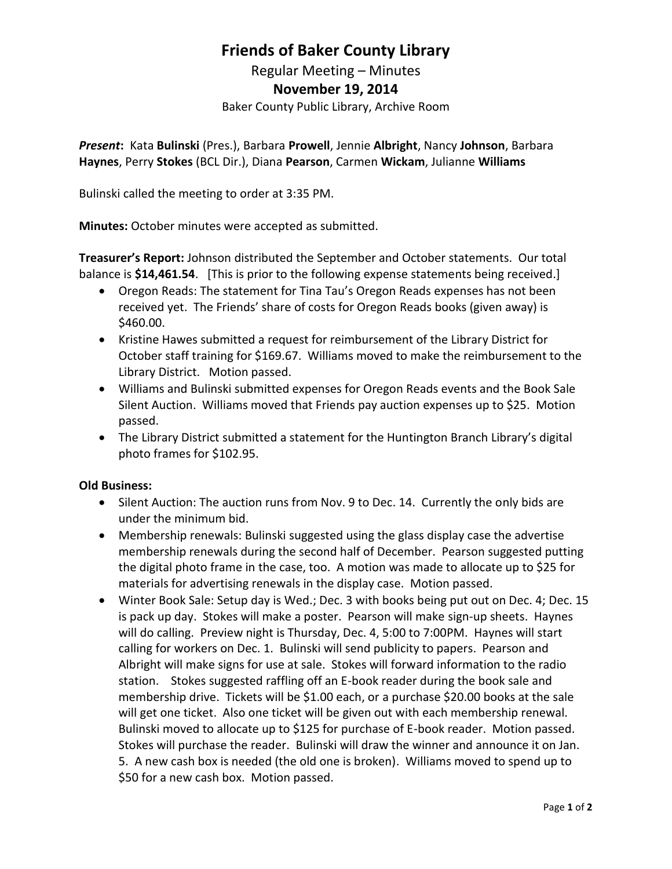# **Friends of Baker County Library**

Regular Meeting – Minutes **November 19, 2014** Baker County Public Library, Archive Room

*Present***:** Kata **Bulinski** (Pres.), Barbara **Prowell**, Jennie **Albright**, Nancy **Johnson**, Barbara **Haynes**, Perry **Stokes** (BCL Dir.), Diana **Pearson**, Carmen **Wickam**, Julianne **Williams**

Bulinski called the meeting to order at 3:35 PM.

**Minutes:** October minutes were accepted as submitted.

**Treasurer's Report:** Johnson distributed the September and October statements. Our total balance is **\$14,461.54**. [This is prior to the following expense statements being received.]

- Oregon Reads: The statement for Tina Tau's Oregon Reads expenses has not been received yet. The Friends' share of costs for Oregon Reads books (given away) is \$460.00.
- Kristine Hawes submitted a request for reimbursement of the Library District for October staff training for \$169.67. Williams moved to make the reimbursement to the Library District. Motion passed.
- Williams and Bulinski submitted expenses for Oregon Reads events and the Book Sale Silent Auction. Williams moved that Friends pay auction expenses up to \$25. Motion passed.
- The Library District submitted a statement for the Huntington Branch Library's digital photo frames for \$102.95.

#### **Old Business:**

- Silent Auction: The auction runs from Nov. 9 to Dec. 14. Currently the only bids are under the minimum bid.
- Membership renewals: Bulinski suggested using the glass display case the advertise membership renewals during the second half of December. Pearson suggested putting the digital photo frame in the case, too. A motion was made to allocate up to \$25 for materials for advertising renewals in the display case. Motion passed.
- Winter Book Sale: Setup day is Wed.; Dec. 3 with books being put out on Dec. 4; Dec. 15 is pack up day. Stokes will make a poster. Pearson will make sign-up sheets. Haynes will do calling. Preview night is Thursday, Dec. 4, 5:00 to 7:00PM. Haynes will start calling for workers on Dec. 1. Bulinski will send publicity to papers. Pearson and Albright will make signs for use at sale. Stokes will forward information to the radio station. Stokes suggested raffling off an E-book reader during the book sale and membership drive. Tickets will be \$1.00 each, or a purchase \$20.00 books at the sale will get one ticket. Also one ticket will be given out with each membership renewal. Bulinski moved to allocate up to \$125 for purchase of E-book reader. Motion passed. Stokes will purchase the reader. Bulinski will draw the winner and announce it on Jan. 5. A new cash box is needed (the old one is broken). Williams moved to spend up to \$50 for a new cash box. Motion passed.